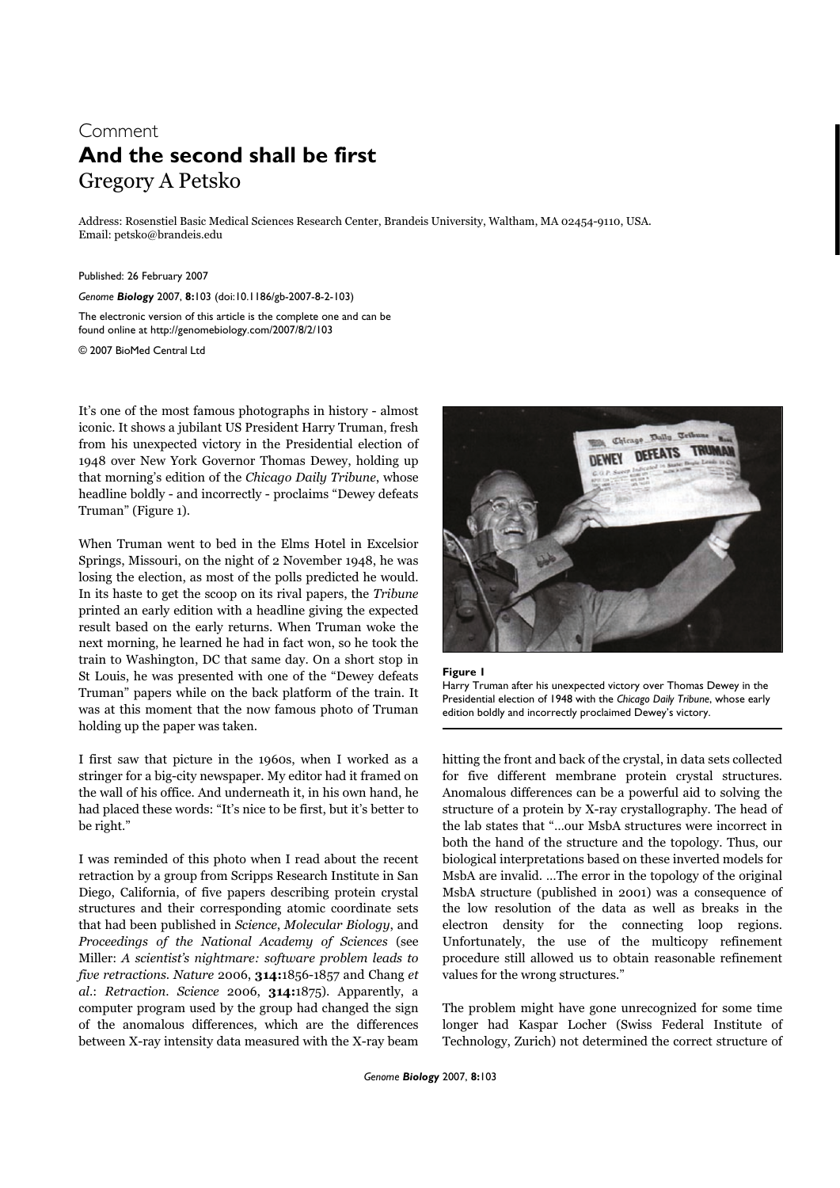## Comment **And the second shall be first** Gregory A Petsko

Address: Rosenstiel Basic Medical Sciences Research Center, Brandeis University, Waltham, MA 02454-9110, USA. Email: petsko@brandeis.edu

Published: 26 February 2007

*Genome Biology* 2007, **8:**103 (doi:10.1186/gb-2007-8-2-103)

The electronic version of this article is the complete one and can be found online at http://genomebiology.com/2007/8/2/103

© 2007 BioMed Central Ltd

It's one of the most famous photographs in history - almost iconic. It shows a jubilant US President Harry Truman, fresh from his unexpected victory in the Presidential election of 1948 over New York Governor Thomas Dewey, holding up that morning's edition of the Chicago Daily Tribune, whose headline boldly - and incorrectly - proclaims "Dewey defeats Truman" (Figure 1).

When Truman went to bed in the Elms Hotel in Excelsior Springs, Missouri, on the night of 2 November 1948, he was losing the election, as most of the polls predicted he would. In its haste to get the scoop on its rival papers, the Tribune printed an early edition with a headline giving the expected result based on the early returns. When Truman woke the next morning, he learned he had in fact won, so he took the train to Washington, DC that same day. On a short stop in St Louis, he was presented with one of the "Dewey defeats Truman" papers while on the back platform of the train. It was at this moment that the now famous photo of Truman holding up the paper was taken.

I first saw that picture in the 1960s, when I worked as a stringer for a big-city newspaper. My editor had it framed on the wall of his office. And underneath it, in his own hand, he had placed these words: "It's nice to be first, but it's better to be right."

I was reminded of this photo when I read about the recent retraction by a group from Scripps Research Institute in San Diego, California, of five papers describing protein crystal structures and their corresponding atomic coordinate sets that had been published in Science, Molecular Biology, and Proceedings of the National Academy of Sciences (see Miller: A scientist's nightmare: software problem leads to five retractions. Nature 2006, 314:1856-1857 and Chang et al.: Retraction. Science 2006, 314:1875). Apparently, a computer program used by the group had changed the sign of the anomalous differences, which are the differences between X-ray intensity data measured with the X-ray beam



## **Figure 1**

Harry Truman after his unexpected victory over Thomas Dewey in the Presidential election of 1948 with the *Chicago Daily Tribune*, whose early edition boldly and incorrectly proclaimed Dewey's victory.

hitting the front and back of the crystal, in data sets collected for five different membrane protein crystal structures. Anomalous differences can be a powerful aid to solving the structure of a protein by X-ray crystallography. The head of the lab states that "…our MsbA structures were incorrect in both the hand of the structure and the topology. Thus, our biological interpretations based on these inverted models for MsbA are invalid. …The error in the topology of the original MsbA structure (published in 2001) was a consequence of the low resolution of the data as well as breaks in the electron density for the connecting loop regions. Unfortunately, the use of the multicopy refinement procedure still allowed us to obtain reasonable refinement values for the wrong structures."

The problem might have gone unrecognized for some time longer had Kaspar Locher (Swiss Federal Institute of Technology, Zurich) not determined the correct structure of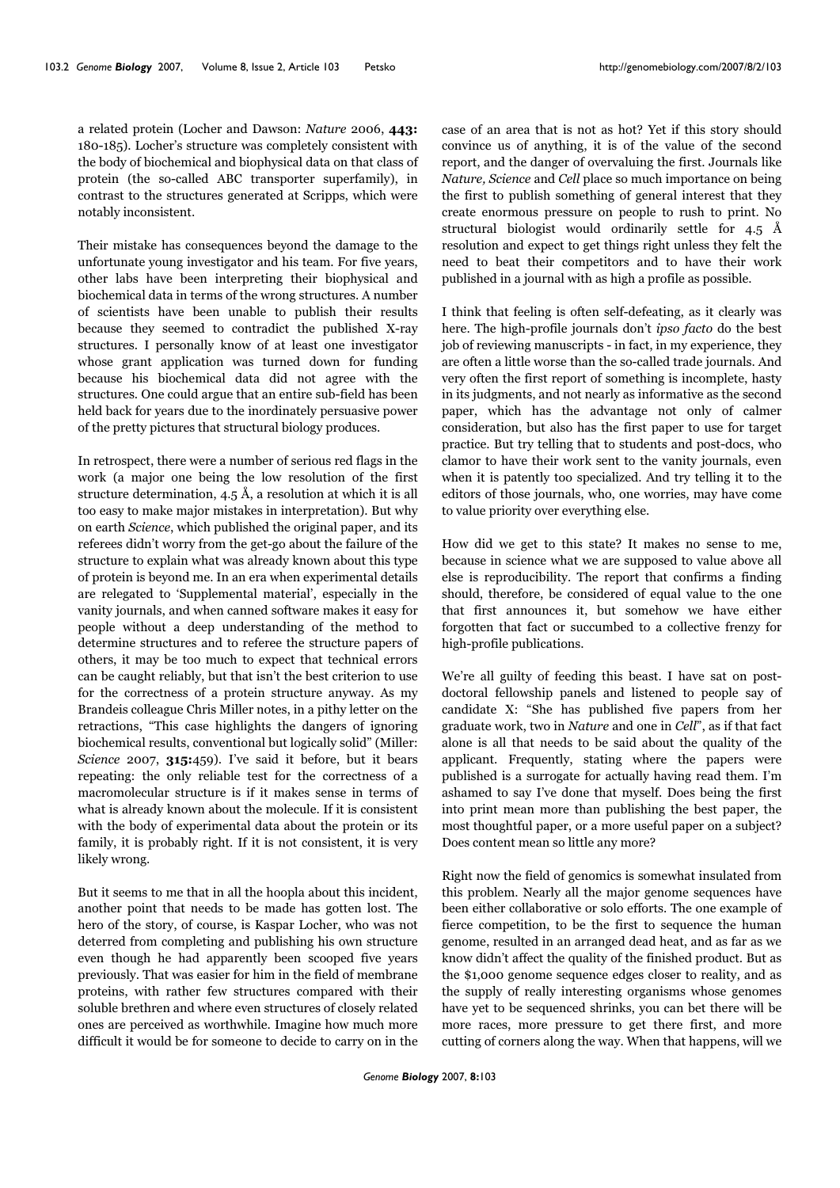a related protein (Locher and Dawson: Nature 2006, 443: 180-185). Locher's structure was completely consistent with the body of biochemical and biophysical data on that class of protein (the so-called ABC transporter superfamily), in contrast to the structures generated at Scripps, which were notably inconsistent.

Their mistake has consequences beyond the damage to the unfortunate young investigator and his team. For five years, other labs have been interpreting their biophysical and biochemical data in terms of the wrong structures. A number of scientists have been unable to publish their results because they seemed to contradict the published X-ray structures. I personally know of at least one investigator whose grant application was turned down for funding because his biochemical data did not agree with the structures. One could argue that an entire sub-field has been held back for years due to the inordinately persuasive power of the pretty pictures that structural biology produces.

In retrospect, there were a number of serious red flags in the work (a major one being the low resolution of the first structure determination, 4.5 Å, a resolution at which it is all too easy to make major mistakes in interpretation). But why on earth Science, which published the original paper, and its referees didn't worry from the get-go about the failure of the structure to explain what was already known about this type of protein is beyond me. In an era when experimental details are relegated to 'Supplemental material', especially in the vanity journals, and when canned software makes it easy for people without a deep understanding of the method to determine structures and to referee the structure papers of others, it may be too much to expect that technical errors can be caught reliably, but that isn't the best criterion to use for the correctness of a protein structure anyway. As my Brandeis colleague Chris Miller notes, in a pithy letter on the retractions, "This case highlights the dangers of ignoring biochemical results, conventional but logically solid" (Miller: Science 2007, 315:459). I've said it before, but it bears repeating: the only reliable test for the correctness of a macromolecular structure is if it makes sense in terms of what is already known about the molecule. If it is consistent with the body of experimental data about the protein or its family, it is probably right. If it is not consistent, it is very likely wrong.

But it seems to me that in all the hoopla about this incident, another point that needs to be made has gotten lost. The hero of the story, of course, is Kaspar Locher, who was not deterred from completing and publishing his own structure even though he had apparently been scooped five years previously. That was easier for him in the field of membrane proteins, with rather few structures compared with their soluble brethren and where even structures of closely related ones are perceived as worthwhile. Imagine how much more difficult it would be for someone to decide to carry on in the

case of an area that is not as hot? Yet if this story should convince us of anything, it is of the value of the second report, and the danger of overvaluing the first. Journals like Nature, Science and Cell place so much importance on being the first to publish something of general interest that they create enormous pressure on people to rush to print. No structural biologist would ordinarily settle for 4.5 Å resolution and expect to get things right unless they felt the need to beat their competitors and to have their work published in a journal with as high a profile as possible.

I think that feeling is often self-defeating, as it clearly was here. The high-profile journals don't ipso facto do the best job of reviewing manuscripts - in fact, in my experience, they are often a little worse than the so-called trade journals. And very often the first report of something is incomplete, hasty in its judgments, and not nearly as informative as the second paper, which has the advantage not only of calmer consideration, but also has the first paper to use for target practice. But try telling that to students and post-docs, who clamor to have their work sent to the vanity journals, even when it is patently too specialized. And try telling it to the editors of those journals, who, one worries, may have come to value priority over everything else.

How did we get to this state? It makes no sense to me, because in science what we are supposed to value above all else is reproducibility. The report that confirms a finding should, therefore, be considered of equal value to the one that first announces it, but somehow we have either forgotten that fact or succumbed to a collective frenzy for high-profile publications.

We're all guilty of feeding this beast. I have sat on postdoctoral fellowship panels and listened to people say of candidate X: "She has published five papers from her graduate work, two in Nature and one in Cell", as if that fact alone is all that needs to be said about the quality of the applicant. Frequently, stating where the papers were published is a surrogate for actually having read them. I'm ashamed to say I've done that myself. Does being the first into print mean more than publishing the best paper, the most thoughtful paper, or a more useful paper on a subject? Does content mean so little any more?

Right now the field of genomics is somewhat insulated from this problem. Nearly all the major genome sequences have been either collaborative or solo efforts. The one example of fierce competition, to be the first to sequence the human genome, resulted in an arranged dead heat, and as far as we know didn't affect the quality of the finished product. But as the \$1,000 genome sequence edges closer to reality, and as the supply of really interesting organisms whose genomes have yet to be sequenced shrinks, you can bet there will be more races, more pressure to get there first, and more cutting of corners along the way. When that happens, will we